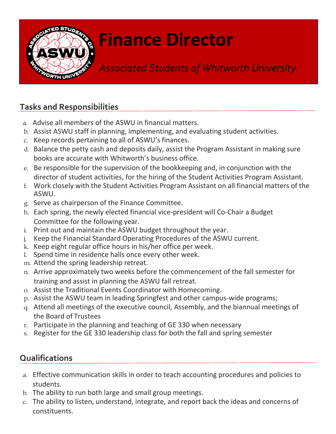

## **Finance Director**

*Associated Students of Whitworth University*

## **Tasks and Responsibilities**

- a. Advise all members of the ASWU in financial matters.
- b. Assist ASWU staff in planning, implementing, and evaluating student activities.
- c. Keep records pertaining to all of ASWU's finances.
- d. Balance the petty cash and deposits daily, assist the Program Assistant in making sure books are accurate with Whitworth's business office.
- e. Be responsible for the supervision of the bookkeeping and, in conjunction with the director of student activities, for the hiring of the Student Activities Program Assistant.
- f. Work closely with the Student Activities Program Assistant on all financial matters of the ASWU.
- g. Serve as chairperson of the Finance Committee.
- h. Each spring, the newly elected financial vice-president will Co-Chair a Budget Committee for the following year.
- i. Print out and maintain the ASWU budget throughout the year.
- j. Keep the Financial Standard Operating Procedures of the ASWU current.
- k. Keep eight regular office hours in his/her office per week.
- l. Spend time in residence halls once every other week.
- m. Attend the spring leadership retreat.
- n. Arrive approximately two weeks before the commencement of the fall semester for training and assist in planning the ASWU fall retreat.
- o. Assist the Traditional Events Coordinator with Homecoming.
- p. Assist the ASWU team in leading Springfest and other campus-wide programs;
- q. Attend all meetings of the executive council, Assembly, and the biannual meetings of the Board of Trustees
- r. Participate in the planning and teaching of GE 330 when necessary
- s. Register for the GE 330 leadership class for both the fall and spring semester

## **Qualifications**

- a. Effective communication skills in order to teach accounting procedures and policies to students.
- b. The ability to run both large and small group meetings.
- c. The ability to listen, understand, integrate, and report back the ideas and concerns of constituents.